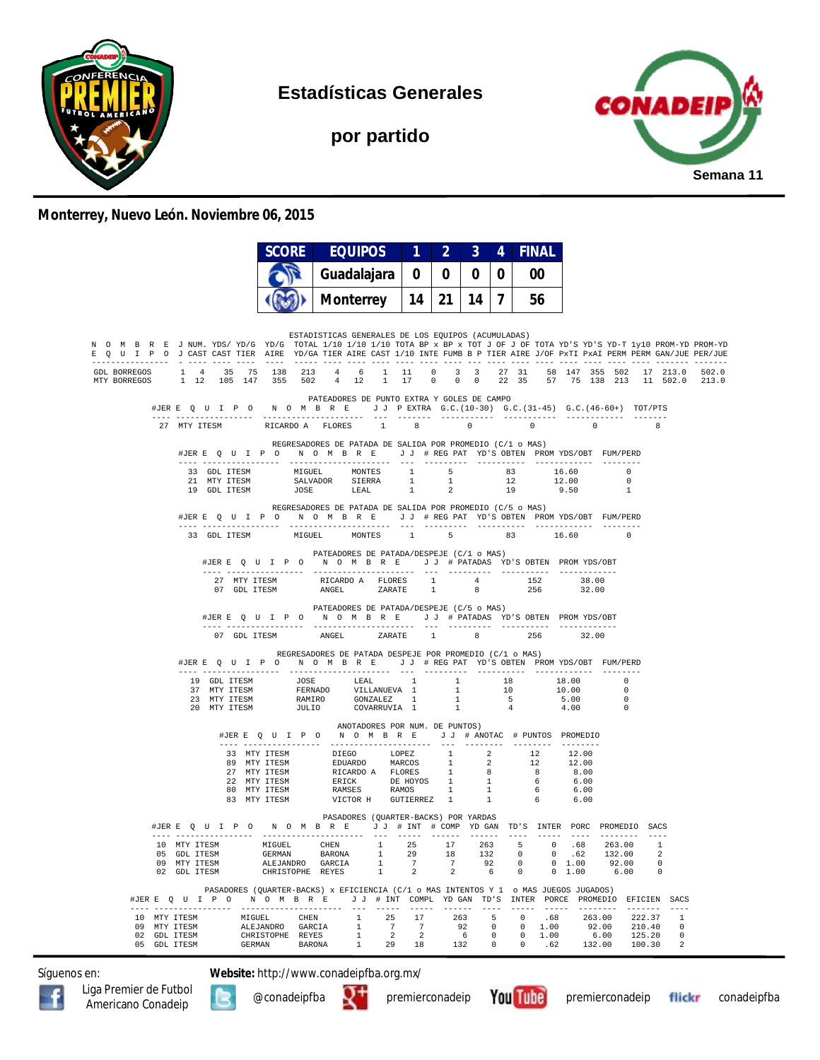

**Estadísticas Generales**

**por partido**



#### **Monterrey, Nuevo León. Noviembre 06, 2015**

|                                                                                                                                                                                                                                                        |                                              |              |        | <b>SCORE</b>                                                                                                                                                                                                                                                                                    |             | EQUIPOS              |               |                                                                                                                          |                                         | $1 \quad 2 \quad 3 \quad 4$             |                                               |              |                   |                                                | <b>FINAL</b>                                         |               |                 |                                                        |                                                                |                                                  |                                                                                  |
|--------------------------------------------------------------------------------------------------------------------------------------------------------------------------------------------------------------------------------------------------------|----------------------------------------------|--------------|--------|-------------------------------------------------------------------------------------------------------------------------------------------------------------------------------------------------------------------------------------------------------------------------------------------------|-------------|----------------------|---------------|--------------------------------------------------------------------------------------------------------------------------|-----------------------------------------|-----------------------------------------|-----------------------------------------------|--------------|-------------------|------------------------------------------------|------------------------------------------------------|---------------|-----------------|--------------------------------------------------------|----------------------------------------------------------------|--------------------------------------------------|----------------------------------------------------------------------------------|
|                                                                                                                                                                                                                                                        |                                              |              |        |                                                                                                                                                                                                                                                                                                 | Guadalajara |                      |               |                                                                                                                          | $\mathbf 0$                             | $\begin{array}{c} 0 & 0 \\ \end{array}$ |                                               |              | 0 <sup>1</sup>    |                                                | 00                                                   |               |                 |                                                        |                                                                |                                                  |                                                                                  |
|                                                                                                                                                                                                                                                        |                                              |              |        |                                                                                                                                                                                                                                                                                                 |             |                      |               | Monterrey   14   21   14   7                                                                                             |                                         |                                         |                                               |              |                   |                                                | 56                                                   |               |                 |                                                        |                                                                |                                                  |                                                                                  |
|                                                                                                                                                                                                                                                        |                                              |              |        |                                                                                                                                                                                                                                                                                                 |             |                      |               |                                                                                                                          |                                         |                                         |                                               |              |                   |                                                |                                                      |               |                 |                                                        |                                                                |                                                  |                                                                                  |
| N O M B R E J NUM. YDS/YD/G YD/G TOTAL 1/10 1/10 1/10 TOTA BP x BP x TOT J OF J OF TOTA YD'S YD-T 1y10 PROM-YD PROM-YD<br>E Q U I P O J CAST CAST TIER AIRE YD/GA TIER AIRE CAST 1/10 INTE FUMB B P TIER AIRE J/OF PXTI PXAI PERM BERM GAN/JUE PER/JUE |                                              |              |        |                                                                                                                                                                                                                                                                                                 |             |                      |               | ESTADISTICAS GENERALES DE LOS EQUIPOS (ACUMULADAS)                                                                       |                                         |                                         |                                               |              |                   |                                                |                                                      |               |                 |                                                        |                                                                |                                                  |                                                                                  |
| MTY BORREGOS                                                                                                                                                                                                                                           |                                              |              |        |                                                                                                                                                                                                                                                                                                 |             |                      |               |                                                                                                                          |                                         |                                         |                                               |              |                   |                                                |                                                      |               |                 |                                                        |                                                                |                                                  | 502.0<br>1 12 105 147 355 502 4 12 1 17 0 0 0 22 35 57 75 138 213 11 502.0 213.0 |
|                                                                                                                                                                                                                                                        |                                              |              |        | #JERE Q U I P O N O M B R E J J PEXTRA G.C. (10-30) G.C. (31-45) G.C. (46-60+) TOT/PTS                                                                                                                                                                                                          |             |                      |               | PATEADORES DE PUNTO EXTRA Y GOLES DE CAMPO                                                                               |                                         |                                         |                                               |              |                   |                                                |                                                      |               |                 |                                                        |                                                                |                                                  |                                                                                  |
|                                                                                                                                                                                                                                                        |                                              |              |        | 27 MTY ITESM RICARDO A FLORES 1 8 0                                                                                                                                                                                                                                                             |             | -------------------- |               |                                                                                                                          |                                         |                                         |                                               |              |                   |                                                | $\sim$ 0                                             | $\sim$ 0      |                 |                                                        | -8                                                             |                                                  |                                                                                  |
|                                                                                                                                                                                                                                                        |                                              |              |        | #JERE QUIPON OMBRE JJ #REGPAT YD'S OBTEN PROMYDS/OBT FUM/PERD                                                                                                                                                                                                                                   |             |                      |               | REGRESADORES DE PATADA DE SALIDA POR PROMEDIO (C/1 o MAS)                                                                |                                         |                                         |                                               |              |                   |                                                |                                                      |               |                 |                                                        |                                                                |                                                  |                                                                                  |
|                                                                                                                                                                                                                                                        |                                              |              |        | $\begin{tabular}{lcccccc} 33 & GDL ITESM & MIGUEL & MONTES & 1 & 5 & 83 & 16.60 & 0 \\ 21 & MTY ITESM & SALVADOR & SIERRA & 1 & 1 & 12 & 12.00 & 0 \\ 19 & GDL ITESM & JOSE & LEAL & 1 & 2 & 19 & 9.50 & 1 \\ \end{tabular}$                                                                    |             |                      |               |                                                                                                                          |                                         |                                         |                                               |              |                   |                                                |                                                      |               |                 |                                                        |                                                                |                                                  |                                                                                  |
|                                                                                                                                                                                                                                                        |                                              |              |        |                                                                                                                                                                                                                                                                                                 |             |                      |               |                                                                                                                          |                                         |                                         |                                               |              |                   |                                                |                                                      |               |                 |                                                        |                                                                |                                                  |                                                                                  |
|                                                                                                                                                                                                                                                        |                                              |              |        | REGRESADORES DE PATADA DE SALIDA POR PROMEDIO (C/5 o MAS)<br>#JERE QUIPO NOMBRE JJ #REGPAT YD'S OBTEN PROMYDS/OBT FUM/PERD                                                                                                                                                                      |             |                      |               |                                                                                                                          |                                         |                                         |                                               |              |                   |                                                |                                                      |               |                 |                                                        |                                                                |                                                  |                                                                                  |
|                                                                                                                                                                                                                                                        |                                              |              |        | 33 GDL ITESM MIGUEL MONTES                                                                                                                                                                                                                                                                      |             |                      |               |                                                                                                                          |                                         |                                         |                                               |              |                   |                                                | 1 5 83 16.60 0                                       |               |                 |                                                        |                                                                |                                                  |                                                                                  |
|                                                                                                                                                                                                                                                        |                                              |              |        | #JERE Q U I P O N O M B R E J J # PATADAS YD'S OBTEN PROMYDS/OBT                                                                                                                                                                                                                                |             |                      |               | PATEADORES DE PATADA/DESPEJE (C/1 o MAS)                                                                                 |                                         |                                         |                                               |              |                   |                                                |                                                      |               |                 |                                                        |                                                                |                                                  |                                                                                  |
|                                                                                                                                                                                                                                                        |                                              |              |        |                                                                                                                                                                                                                                                                                                 |             |                      |               |                                                                                                                          |                                         |                                         |                                               |              |                   |                                                |                                                      |               | 38.00<br>32.00  |                                                        |                                                                |                                                  |                                                                                  |
|                                                                                                                                                                                                                                                        |                                              |              |        | #JERE QUIPO NOMBRE JJ #PATADAS YD'S OBTEN PROMYDS/OBT                                                                                                                                                                                                                                           |             |                      |               | PATEADORES DE PATADA/DESPEJE (C/5 o MAS)                                                                                 |                                         |                                         |                                               |              |                   |                                                |                                                      |               |                 |                                                        |                                                                |                                                  |                                                                                  |
|                                                                                                                                                                                                                                                        |                                              |              |        | 07 GDL ITESM ANGEL ZARATE 1 8 256                                                                                                                                                                                                                                                               |             |                      |               |                                                                                                                          |                                         |                                         |                                               |              |                   |                                                |                                                      | 32.00         |                 |                                                        |                                                                |                                                  |                                                                                  |
|                                                                                                                                                                                                                                                        |                                              |              |        | #JERE Q U I P O N O M B R E J J # REG PAT YD'S OBTEN PROMYDS/OBT FUM/PERD                                                                                                                                                                                                                       |             |                      |               | REGRESADORES DE PATADA DESPEJE POR PROMEDIO (C/1 o MAS)                                                                  |                                         |                                         |                                               |              |                   |                                                |                                                      |               |                 |                                                        |                                                                |                                                  |                                                                                  |
|                                                                                                                                                                                                                                                        |                                              |              |        | $\begin{tabular}{cccccccc} 19 & GDL ITESM & & JOSE & & LEAL & 1 & 1 & 18 & 18.00 \\ 37 & MT ITESM & & FERNADO & & VILLANUEVA & 1 & 1 & 10 & 10.00 \\ 28 & MTY ITTSM & & RAMIRO & & GONZALEZ & 1 & 1 & 5 & 5.00 \\ 20 & MTY ITESM & & RIMIRO & & GONZARUVIA & 1 & 1 & 4 & 4.00 \\ \end{tabular}$ |             |                      |               |                                                                                                                          |                                         |                                         |                                               |              |                   |                                                |                                                      |               |                 | $\sim$ 0<br>$\overline{\phantom{0}}$<br>$\overline{0}$ |                                                                |                                                  |                                                                                  |
|                                                                                                                                                                                                                                                        |                                              |              |        | #JERE Q U I P O N O M B R E J J # ANOTAC # PUNTOS PROMEDIO                                                                                                                                                                                                                                      |             |                      |               | ANOTADORES POR NUM. DE PUNTOS)                                                                                           |                                         |                                         |                                               |              |                   |                                                |                                                      |               |                 |                                                        |                                                                |                                                  |                                                                                  |
|                                                                                                                                                                                                                                                        |                                              |              |        | 33 MTY ITESM DIEGO LOPEZ 1 2 12 12.00<br>89 MTY ITESM EDUARDO MARCOS 1 2 12 12.00<br>27 MTY ITESM ERICARDO A FLORES 1 8 8 8.00<br>27 MTY ITESM ERICARDO A FLORES 1 8 8 8.00<br>80 MTY ITESM ERICK DE HOYOS 1 1 6 6.00<br>80 MTY ITESM RA                                                        |             |                      |               |                                                                                                                          |                                         |                                         |                                               |              |                   |                                                |                                                      |               |                 |                                                        |                                                                |                                                  |                                                                                  |
|                                                                                                                                                                                                                                                        |                                              |              |        |                                                                                                                                                                                                                                                                                                 |             |                      |               | PASADORES (QUARTER-BACKS) POR YARDAS                                                                                     |                                         |                                         |                                               |              |                   |                                                |                                                      |               |                 |                                                        |                                                                |                                                  |                                                                                  |
|                                                                                                                                                                                                                                                        |                                              |              |        | #JERE Q U I P O N O M B R E J J # INT # COMP YD GAN TD'S INTER PORC PROMEDIO SACS                                                                                                                                                                                                               |             |                      |               |                                                                                                                          |                                         |                                         |                                               |              |                   |                                                |                                                      |               |                 |                                                        |                                                                |                                                  |                                                                                  |
|                                                                                                                                                                                                                                                        | 10 MTY ITESM<br>05 GDL ITESM<br>09 MTY ITESM | 02 GDL ITESM |        | MIGUEL CHEN 1 25 17 263<br><b>GERMAN</b><br>ALEJANDRO GARCIA<br>CHRISTOPHE REYES                                                                                                                                                                                                                |             |                      | BARONA 1      | 1<br>1                                                                                                                   | 29<br>$7\overline{ }$<br>$\overline{2}$ |                                         | $7\overline{ }$<br>$\overline{\phantom{a}}$ 2 | 18 132<br>92 | 6 <sup>1</sup>    | $\overline{0}$<br>$\mathbf{0}$<br>$\mathbf{0}$ | 5 0 .68 263.00                                       | $0\quad 1.00$ |                 | $0.62$ 132.00<br>$0$ 1.00 92.00<br>6.00                | $\overline{\phantom{0}}$ 2<br>$\overline{0}$<br>$\overline{0}$ |                                                  |                                                                                  |
|                                                                                                                                                                                                                                                        |                                              |              |        | PASADORES (QUARTER-BACKS) x EFICIENCIA (C/1 o MAS INTENTOS Y 1 o MAS JUEGOS JUGADOS)<br>#JERE Q U I P O N O M B R E J J # INT COMPL YD GAN TD'S INTER PORCE PROMEDIO EFICIEN SACS                                                                                                               |             |                      |               |                                                                                                                          |                                         |                                         |                                               |              |                   |                                                |                                                      |               |                 |                                                        |                                                                |                                                  |                                                                                  |
|                                                                                                                                                                                                                                                        | 09 MTY ITESM<br>02 GDL ITESM                 | 10 MTY ITESM | MIGUEL | ALEJANDRO GARCIA<br>CHRISTOPHE REYES                                                                                                                                                                                                                                                            |             | <b>CHEN</b>          | $\frac{1}{1}$ | 1 25<br>$\begin{matrix} 1 & \hspace{1.5mm} 7 & \hspace{1.5mm} 7 \\ 1 & \hspace{1.5mm} 2 & \hspace{1.5mm} 2 \end{matrix}$ | 17                                      |                                         | 263<br>92<br>$6\overline{6}$                  | $5^{\circ}$  | $0 \qquad \qquad$ |                                                | $0 \qquad .68$<br>$0 \t 0 \t 1.00$<br>$0 \quad 1.00$ |               | 263.00<br>92.00 | 6.00 125.20                                            | 222.37<br>210.40                                               | $- - - - -$<br><sup>1</sup><br>$\mathbf{0}$<br>0 |                                                                                  |
|                                                                                                                                                                                                                                                        | 05 GDL ITESM                                 |              |        | GERMAN BARONA 1 29 18 132 0 0 .62 132.00 100.30                                                                                                                                                                                                                                                 |             |                      |               |                                                                                                                          |                                         |                                         |                                               |              |                   |                                                |                                                      |               |                 |                                                        |                                                                | 2                                                |                                                                                  |

Síguenos en: **Website:** http://www.conadeipfba.org.mx/







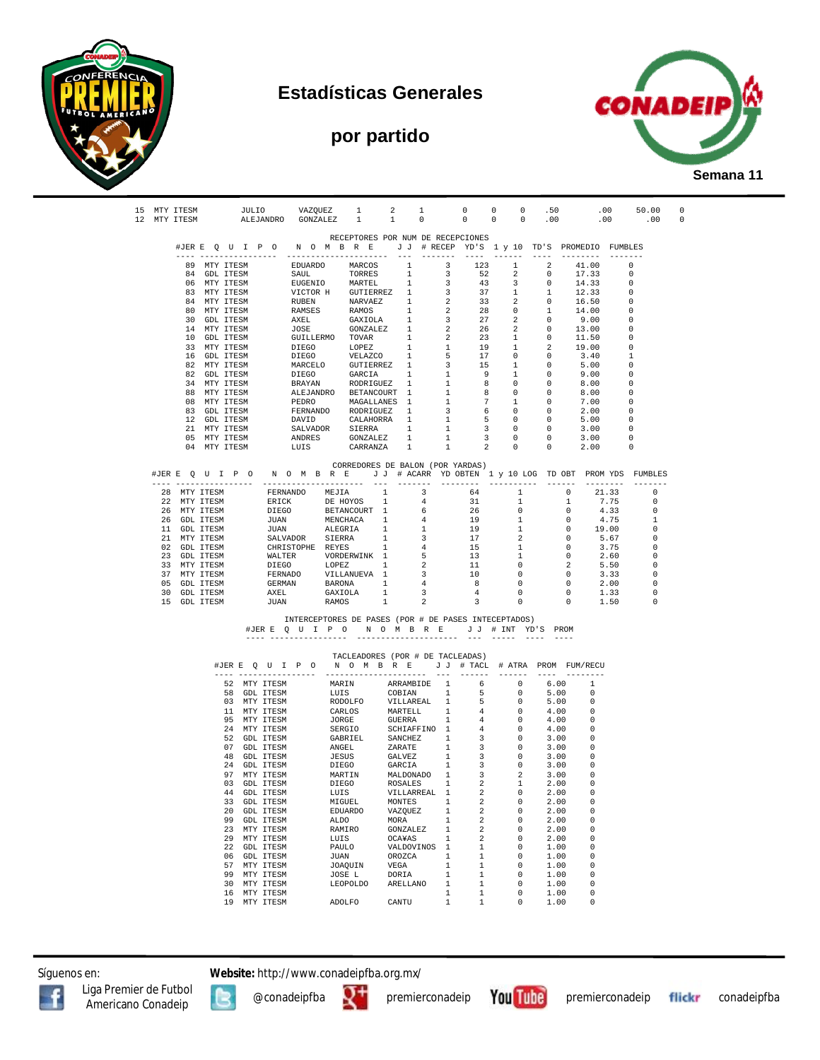

#### **Estadísticas Generales**

# **por partido**



|  | 15 MTY ITESM<br>12 MTY ITESM |                              |    | JULIO VAZQUEZ                |      |        | 1<br>ALEJANDRO GONZALEZ 1 1 0                                                  | 2 1                 |                              | $0 \qquad 0 \qquad 0 \qquad .50$<br>$0 \qquad 0 \qquad 0 \qquad .00$                                                                                                                                                                                                                                                                                                                                          |                                                      |                            |                                                   | .00                                                                                           | .00 50.00            | .00      | $\Omega$<br>0 |
|--|------------------------------|------------------------------|----|------------------------------|------|--------|--------------------------------------------------------------------------------|---------------------|------------------------------|---------------------------------------------------------------------------------------------------------------------------------------------------------------------------------------------------------------------------------------------------------------------------------------------------------------------------------------------------------------------------------------------------------------|------------------------------------------------------|----------------------------|---------------------------------------------------|-----------------------------------------------------------------------------------------------|----------------------|----------|---------------|
|  |                              |                              |    |                              |      |        |                                                                                |                     |                              | RECEPTORES POR NUM DE RECEPCIONES                                                                                                                                                                                                                                                                                                                                                                             |                                                      |                            |                                                   |                                                                                               |                      |          |               |
|  |                              |                              |    |                              |      |        |                                                                                |                     |                              | #JER E Q U I P O N O M B R E J J # RECEP YD'S 1 y 10 TD'S PROMEDIO FUMBLES                                                                                                                                                                                                                                                                                                                                    |                                                      |                            |                                                   |                                                                                               |                      |          |               |
|  |                              |                              |    |                              |      |        |                                                                                |                     |                              | ----- ------<br>89 MTY ITESM EDUARDO MARCOS 1 3 123 1                                                                                                                                                                                                                                                                                                                                                         |                                                      |                            |                                                   | ---- --------                                                                                 | 2 41.00 0            |          |               |
|  |                              | 84 GDL ITESM                 |    |                              | SAUL |        | TORRES                                                                         | $\sim$ 1            | $\overline{\mathbf{3}}$      | 52                                                                                                                                                                                                                                                                                                                                                                                                            | $\overline{\phantom{a}}$ 2                           | $\sim$ 0                   |                                                   | 17.33                                                                                         |                      |          |               |
|  |                              | 06 MTY ITESM                 |    |                              |      |        | EUGENIO MARTEL                                                                 | 1                   | $\overline{\mathbf{3}}$      | 43                                                                                                                                                                                                                                                                                                                                                                                                            | $\overline{\mathbf{3}}$                              | $\overline{0}$             |                                                   | 14.33                                                                                         | - 0                  |          |               |
|  |                              | 83 MTY ITESM                 |    |                              |      |        |                                                                                |                     |                              |                                                                                                                                                                                                                                                                                                                                                                                                               | $\mathbf{1}$                                         | $\mathbf{1}$               |                                                   | $\begin{array}{ccc} 1 & 12.33 \\ 0 & 16.50 \end{array}$                                       | $\Omega$<br>$\Omega$ |          |               |
|  |                              | 84 MTY ITESM<br>80 MTY ITESM |    |                              |      |        |                                                                                |                     |                              |                                                                                                                                                                                                                                                                                                                                                                                                               | $\sim$ 2<br>$\overline{0}$                           | 1                          |                                                   | 14.00                                                                                         | $\Omega$             |          |               |
|  |                              | 30 GDL ITESM                 |    |                              |      |        |                                                                                |                     |                              |                                                                                                                                                                                                                                                                                                                                                                                                               | 2                                                    | $\overline{0}$             |                                                   | 9.00                                                                                          | 0                    |          |               |
|  |                              | 14 MTY ITESM                 |    |                              |      |        |                                                                                |                     |                              |                                                                                                                                                                                                                                                                                                                                                                                                               | 2                                                    | $\overline{\phantom{0}}$   |                                                   | 13.00                                                                                         | - 0                  |          |               |
|  |                              | 10 GDL ITESM<br>33 MTY ITESM |    |                              |      |        |                                                                                |                     |                              | $\begin{tabular}{cccc} \texttt{RUUCIN} & \texttt{MAKTEL} & 1 & 3 & 43 \\ \texttt{VICTOR H} & \texttt{GUTIERREZ} & 1 & 3 & 37 \\ \texttt{RUBEN} & \texttt{NARVAEZ} & 1 & 2 & 33 \\ \texttt{RMMSES} & \texttt{RAMOS} & 1 & 2 & 28 \\ \texttt{AKREL} & \texttt{GANOLA} & 1 & 3 & 27 \\ \texttt{JOSE} & \texttt{GONZALEZ} & 1 & 2 & 26 \\ \texttt{GULLEERMO} & \texttt{TOVAR} & 1 & 2 & 23 \\ \texttt{DTFCO} & \$ | 1<br>$\mathbf{1}$                                    | $\overline{2}$             |                                                   | $0 \t 11.50$<br>19.00                                                                         | $\Omega$<br>$\Omega$ |          |               |
|  |                              | 16 GDL ITESM                 |    |                              |      |        |                                                                                |                     |                              |                                                                                                                                                                                                                                                                                                                                                                                                               | $\circ$                                              | $\overline{\phantom{0}}$   |                                                   | 3.40                                                                                          | -1                   |          |               |
|  |                              | 82 MTY ITESM                 |    |                              |      |        |                                                                                |                     |                              | UNIFIES IONEZ 1 1 19<br>DIEGO IOPEZ 1 1 19<br>DIEGO VELAZCO 1 5 17<br>MARCELO GUTIERREZ 1 3 15<br>DIEGO GARCIA 1 1 9<br>BRAYAN RODRIGUEZ 1 1 8<br>ALEJANDRO BETANCOURT 1 1 8<br>PEDRO MAGALLANES 1 1 7                                                                                                                                                                                                        | 1                                                    | $\overline{0}$             |                                                   | 5.00                                                                                          | $\Omega$             |          |               |
|  |                              | 82 GDL ITESM<br>34 MTY ITESM |    |                              |      |        |                                                                                |                     |                              |                                                                                                                                                                                                                                                                                                                                                                                                               | 1<br>$\Omega$                                        | $\overline{0}$<br>$\Omega$ |                                                   | 9.00<br>8.00                                                                                  | $\Omega$             |          |               |
|  |                              | 88 MTY ITESM                 |    |                              |      |        |                                                                                |                     |                              |                                                                                                                                                                                                                                                                                                                                                                                                               | $\mathbf{0}$                                         | $\overline{0}$             |                                                   | 8.00                                                                                          | 0                    |          |               |
|  |                              | 08 MTY ITESM                 |    |                              |      |        | PEDRO MAGALLANES 1                                                             |                     | 1                            | $7\overline{ }$                                                                                                                                                                                                                                                                                                                                                                                               | $\mathbf{1}$                                         | $\overline{\phantom{0}}$   |                                                   | 7.00                                                                                          | $\Omega$             |          |               |
|  |                              | 83 GDL ITESM                 |    |                              |      |        | FERNANDO RODRIGUEZ 1                                                           |                     | $\overline{\mathbf{3}}$      | $6\overline{6}$                                                                                                                                                                                                                                                                                                                                                                                               | $\overline{0}$                                       | $\overline{0}$             |                                                   | 2.00                                                                                          |                      |          |               |
|  |                              | 12 GDL ITESM<br>21 MTY ITESM |    |                              |      |        | DAVID CALAHORRA 1                                                              |                     | 1                            | $-5$                                                                                                                                                                                                                                                                                                                                                                                                          | $\overline{0}$<br>$\overline{0}$                     | $\overline{0}$             |                                                   | 5.00                                                                                          | 0<br>$\Omega$        |          |               |
|  |                              | 05 MTY ITESM                 |    |                              |      |        | DAVID CALAHOKRA I<br>SALVADOR SIERRA 1<br>ANDRES GONZALEZ 1<br>LUIS CARRANZA 1 |                     |                              | $\begin{array}{ccc} 1 & & 3 \\ 1 & & 3 \end{array}$                                                                                                                                                                                                                                                                                                                                                           | $\overline{0}$                                       |                            |                                                   | $\begin{array}{ccc} 0 & \quad & 3\,.00 \ 0 & \quad & 3\,.00 \ 0 & \quad & 2\,.00 \end{array}$ | $\Omega$             |          |               |
|  |                              | 04 MTY ITESM                 |    |                              |      |        |                                                                                |                     | $\frac{1}{1}$                | $\overline{2}$                                                                                                                                                                                                                                                                                                                                                                                                | $\overline{0}$                                       |                            |                                                   |                                                                                               |                      |          |               |
|  |                              |                              |    |                              |      |        | CORREDORES DE BALON (POR YARDAS)                                               |                     |                              |                                                                                                                                                                                                                                                                                                                                                                                                               |                                                      |                            |                                                   |                                                                                               |                      |          |               |
|  |                              |                              |    |                              |      |        |                                                                                |                     |                              | #JERE QUIPO NOMBRE JJ # ACARR YDOBTEN 1 y 10 LOG TDOBT PROMYDS FUMBLES                                                                                                                                                                                                                                                                                                                                        |                                                      |                            |                                                   |                                                                                               |                      |          |               |
|  | 28 MTY ITESM                 |                              |    |                              |      |        |                                                                                |                     |                              |                                                                                                                                                                                                                                                                                                                                                                                                               |                                                      |                            | $\overline{\phantom{0}}$                          | 21.33                                                                                         |                      | 0        |               |
|  | 22 MTY ITESM                 |                              |    |                              |      |        |                                                                                |                     |                              | $64$<br>31                                                                                                                                                                                                                                                                                                                                                                                                    | $\begin{bmatrix} 1 \\ 1 \\ 1 \end{bmatrix}$          |                            | $\qquad \qquad 1$                                 |                                                                                               | 7.75                 | $\Omega$ |               |
|  | 26 MTY ITESM                 |                              |    |                              |      |        |                                                                                |                     |                              | 26                                                                                                                                                                                                                                                                                                                                                                                                            | $\sim$ 0<br>$\sim$ 1                                 |                            | $\overline{0}$<br>$\sim$ 0                        |                                                                                               | 4.33                 | 0        |               |
|  | 26 GDL ITESM<br>11 GDL ITESM |                              |    |                              |      |        |                                                                                |                     |                              | 19<br>19                                                                                                                                                                                                                                                                                                                                                                                                      | $\mathbf{1}$                                         |                            | $\overline{0}$                                    | 4.75<br>19.00                                                                                 |                      | -1<br>0  |               |
|  | 21 MTY ITESM                 |                              |    |                              |      |        |                                                                                |                     |                              | 17                                                                                                                                                                                                                                                                                                                                                                                                            | $\overline{\mathbf{2}}$                              |                            | $\overline{0}$                                    | 5.67                                                                                          |                      | $\Omega$ |               |
|  | 02 GDL ITESM                 |                              |    |                              |      |        |                                                                                |                     |                              | 15                                                                                                                                                                                                                                                                                                                                                                                                            | 1                                                    |                            | $\overline{0}$                                    | 3.75                                                                                          |                      | 0        |               |
|  | 23 GDL ITESM<br>33 MTY ITESM |                              |    |                              |      |        |                                                                                |                     |                              | $\begin{array}{c} 13 \\ 13 \\ 11 \end{array}$                                                                                                                                                                                                                                                                                                                                                                 | 1<br>$\overline{\phantom{0}}$                        |                            |                                                   | 2.60                                                                                          |                      | 0<br>0   |               |
|  | 37 MTY ITESM                 |                              |    |                              |      |        |                                                                                |                     |                              | 10                                                                                                                                                                                                                                                                                                                                                                                                            | $\overline{0}$                                       |                            | $\begin{array}{c}\n0 \\ 2 \\ 0 \\ 0\n\end{array}$ | $\frac{2100}{3.33}$                                                                           |                      | 0        |               |
|  | 05 GDL ITESM                 |                              |    |                              |      |        |                                                                                |                     |                              | 8 <sup>1</sup>                                                                                                                                                                                                                                                                                                                                                                                                | $\overline{0}$                                       |                            | $\overline{0}$                                    |                                                                                               | 2.00                 | 0        |               |
|  | 30 GDL ITESM<br>15 GDL ITESM |                              |    | <b>JUAN</b>                  |      |        |                                                                                | $1 \qquad \qquad 2$ |                              | $\overline{4}$<br>$\overline{\mathbf{3}}$                                                                                                                                                                                                                                                                                                                                                                     | $\overline{0}$<br>$\sim$ 0                           | $\sim$ 0                   | $\overline{0}$                                    | $1.33$<br>$1.50$                                                                              |                      | 0<br>0   |               |
|  |                              |                              |    |                              |      |        | RAMOS                                                                          |                     |                              |                                                                                                                                                                                                                                                                                                                                                                                                               |                                                      |                            |                                                   |                                                                                               |                      |          |               |
|  |                              |                              |    |                              |      |        |                                                                                |                     |                              | INTERCEPTORES DE PASES (POR # DE PASES INTECEPTADOS)                                                                                                                                                                                                                                                                                                                                                          |                                                      |                            |                                                   |                                                                                               |                      |          |               |
|  |                              |                              |    |                              |      |        |                                                                                |                     |                              | #JERE QUIPONOMBRE JJ # INT YD'S PROM                                                                                                                                                                                                                                                                                                                                                                          |                                                      |                            |                                                   |                                                                                               |                      |          |               |
|  |                              |                              |    |                              |      |        |                                                                                |                     |                              |                                                                                                                                                                                                                                                                                                                                                                                                               |                                                      |                            |                                                   |                                                                                               |                      |          |               |
|  |                              |                              |    |                              |      |        | TACLEADORES (POR # DE TACLEADAS)                                               |                     |                              | #JERE QUIPO NOMBRE JJ # TACL # ATRA PROM FUM/RECU                                                                                                                                                                                                                                                                                                                                                             |                                                      |                            |                                                   |                                                                                               |                      |          |               |
|  |                              |                              |    |                              |      |        |                                                                                |                     |                              |                                                                                                                                                                                                                                                                                                                                                                                                               |                                                      |                            |                                                   |                                                                                               |                      |          |               |
|  |                              |                              |    |                              |      |        | 52 MTY ITESM MARIN                                                             | ARRAMBIDE 1         |                              | $6\overline{6}$                                                                                                                                                                                                                                                                                                                                                                                               | $\overline{0}$                                       |                            | 6.00                                              | $\overline{1}$<br>$\overline{0}$                                                              |                      |          |               |
|  |                              |                              |    | 58 GDL ITESM<br>03 MTY ITESM |      |        |                                                                                |                     |                              |                                                                                                                                                                                                                                                                                                                                                                                                               | $\overline{\phantom{0}}$<br>$\overline{\phantom{0}}$ | 5.00                       | 5.00                                              | - 0                                                                                           |                      |          |               |
|  |                              |                              |    | 11 MTY ITESM                 |      |        |                                                                                |                     |                              |                                                                                                                                                                                                                                                                                                                                                                                                               | $\overline{\phantom{0}}$                             | 4.00                       |                                                   | $\overline{\phantom{0}}$                                                                      |                      |          |               |
|  |                              |                              |    | 95 MTY ITESM                 |      |        |                                                                                |                     |                              | LUIS COBIAN 1 5<br>RODOLFO VILLAREAL 1 5<br>CARLOS MARTELL 1 4<br>JORGE GUERRA 1 4<br>SERGIO SCHIAFFINO 1 4<br>GABRIEL SANCHEZ 1 3<br>ANGEL ZARATE 1 3<br>TESIS CALVEZ 1 3<br>TESIS CALVEZ 1 3<br>TESIS CALVEZ 1 3                                                                                                                                                                                            | $\overline{\phantom{0}}$                             | 4.00                       |                                                   | $\Omega$                                                                                      |                      |          |               |
|  |                              |                              |    | 24 MTY ITESM<br>52 GDL ITESM |      |        |                                                                                |                     |                              |                                                                                                                                                                                                                                                                                                                                                                                                               | $\overline{0}$<br>$\overline{0}$                     | 4.00<br>3.00               |                                                   | - 0<br>- 0                                                                                    |                      |          |               |
|  |                              |                              |    | 07 GDL ITESM                 |      |        |                                                                                |                     |                              |                                                                                                                                                                                                                                                                                                                                                                                                               | $\overline{\phantom{0}}$                             | 3.00                       |                                                   | . റ                                                                                           |                      |          |               |
|  |                              |                              |    | 48 GDL ITESM                 |      |        | <b>JESUS</b>                                                                   | <b>GALVEZ</b>       | 1                            | $\overline{\phantom{a}}$ 3                                                                                                                                                                                                                                                                                                                                                                                    | $\overline{\phantom{0}}$                             | 3.00                       |                                                   | - റ                                                                                           |                      |          |               |
|  |                              |                              |    | 24 GDL ITESM<br>97 MTY ITESM |      |        | DIEGO                                                                          |                     |                              |                                                                                                                                                                                                                                                                                                                                                                                                               | $\overline{\phantom{a}}$                             | 3.00<br>3.00               |                                                   | - 0<br>$\Omega$                                                                               |                      |          |               |
|  |                              |                              |    | 03 GDL ITESM                 |      |        |                                                                                |                     |                              |                                                                                                                                                                                                                                                                                                                                                                                                               | $\mathbf{1}$                                         | 2.00                       |                                                   | $\overline{0}$                                                                                |                      |          |               |
|  |                              |                              |    | 44 GDL ITESM                 |      |        |                                                                                |                     |                              | DIEGO GARCIA 1 3 0<br>MARTIN MALDONADO 1 3 2<br>DIEGO ROSALES 1 2 1<br>LUIS VILLARREAL 1 2 0<br>MIGUEL MONTES 1 2 0                                                                                                                                                                                                                                                                                           | $\overline{0}$                                       | 2.00                       |                                                   | . റ                                                                                           |                      |          |               |
|  |                              |                              |    | 33 GDL ITESM                 |      |        |                                                                                |                     |                              |                                                                                                                                                                                                                                                                                                                                                                                                               |                                                      | 2.00                       |                                                   | $\Omega$                                                                                      |                      |          |               |
|  |                              |                              |    | 20 GDL ITESM<br>99 GDL ITESM |      | ALDO   | EDUARDO                                                                        | VAZQUEZ<br>MORA     | 1<br>1                       | 2<br>2                                                                                                                                                                                                                                                                                                                                                                                                        | 0<br>0                                               | 2.00<br>2.00               |                                                   | 0<br>0                                                                                        |                      |          |               |
|  |                              |                              |    | 23 MTY ITESM                 |      | RAMIRO |                                                                                | GONZALEZ            | 1                            | 2                                                                                                                                                                                                                                                                                                                                                                                                             | 0                                                    | 2.00                       |                                                   | 0                                                                                             |                      |          |               |
|  |                              |                              |    | 29 MTY ITESM                 |      | LUIS   |                                                                                | OCA¥AS              | $\mathbf{1}$                 | 2                                                                                                                                                                                                                                                                                                                                                                                                             | 0                                                    | 2.00                       |                                                   | 0                                                                                             |                      |          |               |
|  |                              |                              |    | 22 GDL ITESM<br>06 GDL ITESM |      | PAULO  |                                                                                | VALDOVINOS 1        | $\mathbf{1}$                 | 1<br>$\mathbf{1}$                                                                                                                                                                                                                                                                                                                                                                                             | 0<br>0                                               | 1.00<br>1.00               |                                                   | 0<br>0                                                                                        |                      |          |               |
|  |                              |                              |    | 57 MTY ITESM                 |      | JUAN   | JOAQUIN                                                                        | OROZCA<br>VEGA      | 1                            | $\mathbf{1}$                                                                                                                                                                                                                                                                                                                                                                                                  | 0                                                    | 1.00                       |                                                   | 0                                                                                             |                      |          |               |
|  |                              |                              | 99 | MTY ITESM                    |      | JOSE L |                                                                                | DORIA               | $\mathbf{1}$                 | $\mathbf{1}$                                                                                                                                                                                                                                                                                                                                                                                                  | 0                                                    | 1.00                       |                                                   | 0                                                                                             |                      |          |               |
|  |                              |                              |    | 30 MTY ITESM                 |      |        | <b>LEOPOLDO</b>                                                                | ARELLANO            | $\mathbf{1}$                 | 1                                                                                                                                                                                                                                                                                                                                                                                                             | $\Omega$                                             | 1.00                       |                                                   | 0                                                                                             |                      |          |               |
|  |                              |                              |    | 16 MTY ITESM<br>19 MTY ITESM |      | ADOLFO |                                                                                | CANTU               | $\mathbf{1}$<br>$\mathbf{1}$ | $\mathbf{1}$<br>$\mathbf{1}$                                                                                                                                                                                                                                                                                                                                                                                  | 0<br>0                                               | 1.00<br>1.00               |                                                   | 0<br>0                                                                                        |                      |          |               |
|  |                              |                              |    |                              |      |        |                                                                                |                     |                              |                                                                                                                                                                                                                                                                                                                                                                                                               |                                                      |                            |                                                   |                                                                                               |                      |          |               |

Síguenos en: **Website:** http://www.conadeipfba.org.mx/